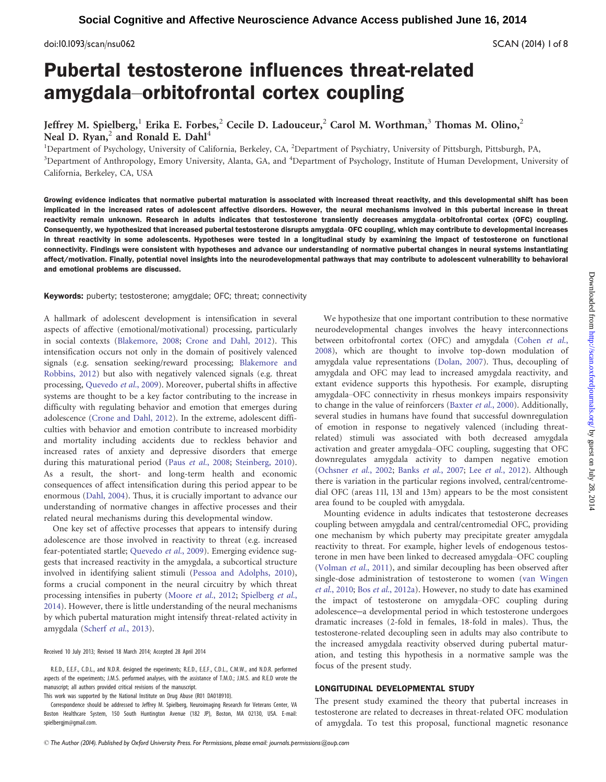doi:10.1093/scan/nsu062 SCAN (2014) 1 of 8

# Pubertal testosterone influences threat-related amygdala–orbitofrontal cortex coupling

Jeffrey M. Spielberg,<sup>1</sup> Erika E. Forbes,<sup>2</sup> Cecile D. Ladouceur,<sup>2</sup> Carol M. Worthman,<sup>3</sup> Thomas M. Olino,<sup>2</sup> Neal D. Ryan, $<sup>2</sup>$  and Ronald E. Dahl<sup>4</sup></sup>

<sup>1</sup>Department of Psychology, University of California, Berkeley, CA, <sup>2</sup>Department of Psychiatry, University of Pittsburgh, Pittsburgh, PA, <sup>3</sup>Department of Anthropology, Emory University, Alanta, GA, and <sup>4</sup>Department of Psychology, Institute of Human Development, University of California, Berkeley, CA, USA

Growing evidence indicates that normative pubertal maturation is associated with increased threat reactivity, and this developmental shift has been implicated in the increased rates of adolescent affective disorders. However, the neural mechanisms involved in this pubertal increase in threat reactivity remain unknown. Research in adults indicates that testosterone transiently decreases amygdala–orbitofrontal cortex (OFC) coupling. Consequently, we hypothesized that increased pubertal testosterone disrupts amygdala–OFC coupling, which may contribute to developmental increases in threat reactivity in some adolescents. Hypotheses were tested in a longitudinal study by examining the impact of testosterone on functional connectivity. Findings were consistent with hypotheses and advance our understanding of normative pubertal changes in neural systems instantiating affect/motivation. Finally, potential novel insights into the neurodevelopmental pathways that may contribute to adolescent vulnerability to behavioral and emotional problems are discussed.

Keywords: puberty; testosterone; amygdale; OFC; threat; connectivity

A hallmark of adolescent development is intensification in several aspects of affective (emotional/motivational) processing, particularly in social contexts ([Blakemore, 2008](#page-6-0); [Crone and Dahl, 2012\)](#page-6-0). This intensification occurs not only in the domain of positively valenced signals (e.g. sensation seeking/reward processing; [Blakemore and](#page-6-0) [Robbins, 2012](#page-6-0)) but also with negatively valenced signals (e.g. threat processing, [Quevedo](#page-6-0) et al., 2009). Moreover, pubertal shifts in affective systems are thought to be a key factor contributing to the increase in difficulty with regulating behavior and emotion that emerges during adolescence ([Crone and Dahl, 2012](#page-6-0)). In the extreme, adolescent difficulties with behavior and emotion contribute to increased morbidity and mortality including accidents due to reckless behavior and increased rates of anxiety and depressive disorders that emerge during this maturational period (Paus et al.[, 2008](#page-6-0); [Steinberg, 2010\)](#page-6-0). As a result, the short- and long-term health and economic consequences of affect intensification during this period appear to be enormous ([Dahl, 2004](#page-6-0)). Thus, it is crucially important to advance our understanding of normative changes in affective processes and their related neural mechanisms during this developmental window.

One key set of affective processes that appears to intensify during adolescence are those involved in reactivity to threat (e.g. increased fear-potentiated startle; [Quevedo](#page-6-0) et al., 2009). Emerging evidence suggests that increased reactivity in the amygdala, a subcortical structure involved in identifying salient stimuli [\(Pessoa and Adolphs, 2010\)](#page-6-0), forms a crucial component in the neural circuitry by which threat processing intensifies in puberty [\(Moore](#page-6-0) et al., 2012; [Spielberg](#page-6-0) et al., [2014\)](#page-6-0). However, there is little understanding of the neural mechanisms by which pubertal maturation might intensify threat-related activity in amygdala (Scherf et al.[, 2013\)](#page-6-0).

Received 10 July 2013; Revised 18 March 2014; Accepted 28 April 2014

R.E.D., E.E.F., C.D.L., and N.D.R. designed the experiments; R.E.D., E.E.F., C.D.L., C.M.W., and N.D.R. performed aspects of the experiments; J.M.S. performed analyses, with the assistance of T.M.O.; J.M.S. and R.E.D wrote the manuscript; all authors provided critical revisions of the manuscript.

This work was supported by the National Institute on Drug Abuse (R01 DA018910).

Correspondence should be addressed to Jeffrey M. Spielberg, Neuroimaging Research for Veterans Center, VA Boston Healthcare System, 150 South Huntington Avenue (182 JP), Boston, MA 02130, USA. E-mail: spielbergjm@gmail.com.

We hypothesize that one important contribution to these normative neurodevelopmental changes involves the heavy interconnections between orbitofrontal cortex (OFC) and amygdala [\(Cohen](#page-6-0) et al., [2008\)](#page-6-0), which are thought to involve top-down modulation of amygdala value representations ([Dolan, 2007](#page-6-0)). Thus, decoupling of amygdala and OFC may lead to increased amygdala reactivity, and extant evidence supports this hypothesis. For example, disrupting amygdala–OFC connectivity in rhesus monkeys impairs responsivity to change in the value of reinforcers ([Baxter](#page-6-0) et al., 2000). Additionally, several studies in humans have found that successful downregulation of emotion in response to negatively valenced (including threatrelated) stimuli was associated with both decreased amygdala activation and greater amygdala–OFC coupling, suggesting that OFC downregulates amygdala activity to dampen negative emotion ([Ochsner](#page-6-0) et al., 2002; Banks et al.[, 2007;](#page-6-0) Lee et al.[, 2012](#page-6-0)). Although there is variation in the particular regions involved, central/centromedial OFC (areas 11l, 13l and 13m) appears to be the most consistent area found to be coupled with amygdala.

Mounting evidence in adults indicates that testosterone decreases coupling between amygdala and central/centromedial OFC, providing one mechanism by which puberty may precipitate greater amygdala reactivity to threat. For example, higher levels of endogenous testosterone in men have been linked to decreased amygdala–OFC coupling ([Volman](#page-7-0) et al., 2011), and similar decoupling has been observed after single-dose administration of testosterone to women [\(van Wingen](#page-6-0) et al.[, 2010](#page-6-0); Bos et al.[, 2012a\)](#page-6-0). However, no study to date has examined the impact of testosterone on amygdala–OFC coupling during adolescence-a developmental period in which testosterone undergoes dramatic increases (2-fold in females, 18-fold in males). Thus, the testosterone-related decoupling seen in adults may also contribute to the increased amygdala reactivity observed during pubertal maturation, and testing this hypothesis in a normative sample was the focus of the present study.

#### LONGITUDINAL DEVELOPMENTAL STUDY

The present study examined the theory that pubertal increases in testosterone are related to decreases in threat-related OFC modulation of amygdala. To test this proposal, functional magnetic resonance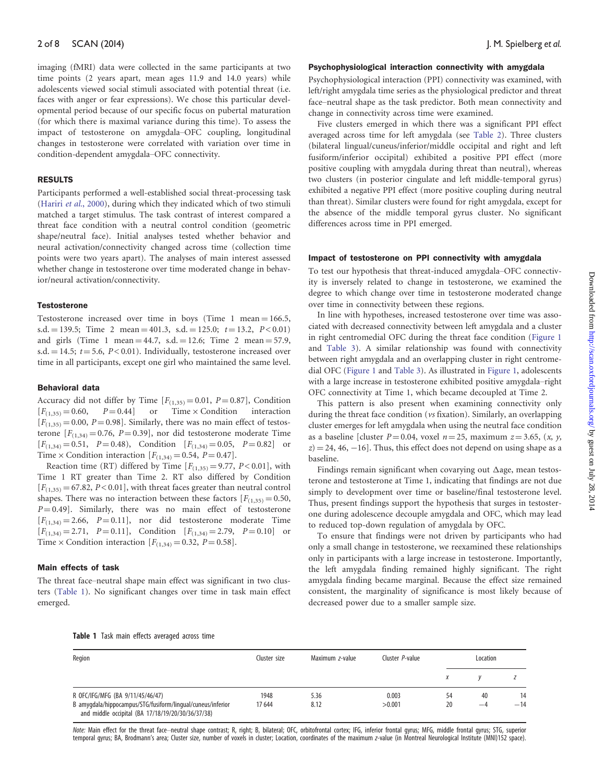imaging (fMRI) data were collected in the same participants at two time points (2 years apart, mean ages 11.9 and 14.0 years) while adolescents viewed social stimuli associated with potential threat (i.e. faces with anger or fear expressions). We chose this particular developmental period because of our specific focus on pubertal maturation (for which there is maximal variance during this time). To assess the impact of testosterone on amygdala–OFC coupling, longitudinal changes in testosterone were correlated with variation over time in condition-dependent amygdala–OFC connectivity.

## RESULTS

Participants performed a well-established social threat-processing task [\(Hariri](#page-6-0) et al., 2000), during which they indicated which of two stimuli matched a target stimulus. The task contrast of interest compared a threat face condition with a neutral control condition (geometric shape/neutral face). Initial analyses tested whether behavior and neural activation/connectivity changed across time (collection time points were two years apart). The analyses of main interest assessed whether change in testosterone over time moderated change in behavior/neural activation/connectivity.

#### **Testosterone**

Testosterone increased over time in boys (Time 1 mean  $= 166.5$ , s.d. = 139.5; Time 2 mean = 401.3, s.d. = 125.0;  $t = 13.2$ ,  $P < 0.01$ ) and girls (Time 1 mean  $= 44.7$ , s.d.  $= 12.6$ ; Time 2 mean  $= 57.9$ , s.d.  $= 14.5$ ;  $t = 5.6$ ,  $P < 0.01$ ). Individually, testosterone increased over time in all participants, except one girl who maintained the same level.

#### Behavioral data

Accuracy did not differ by Time  $[F_{(1,35)} = 0.01, P = 0.87]$ , Condition  $[F_{(1,35)} = 0.60, \quad P = 0.44]$  or  $Time \times Condition$  interaction  $[F(1,35) = 0.00, P = 0.98]$ . Similarly, there was no main effect of testosterone  $[F_{(1,34)} = 0.76, P = 0.39]$ , nor did testosterone moderate Time  $[F_{(1,34)} = 0.51, P = 0.48)$ , Condition  $[F_{(1,34)} = 0.05, P = 0.82]$  or Time  $\times$  Condition interaction  $[F_{(1,34)} = 0.54, P = 0.47]$ .

Reaction time (RT) differed by Time  $[F(1,35)] = 9.77$ , P < 0.01], with Time 1 RT greater than Time 2. RT also differed by Condition  $[F(1,35) = 67.82, P < 0.01]$ , with threat faces greater than neutral control shapes. There was no interaction between these factors  $[F(1,35)] = 0.50$ ,  $P = 0.49$ ]. Similarly, there was no main effect of testosterone  $[F_{(1,34)}] = 2.66$ ,  $P = 0.11$ ], nor did testosterone moderate Time  $[F_{(1,34)} = 2.71, P = 0.11],$  Condition  $[F_{(1,34)} = 2.79, P = 0.10]$  or Time  $\times$  Condition interaction  $[F_{(1,34)} = 0.32, P = 0.58]$ .

#### Main effects of task

The threat face–neutral shape main effect was significant in two clusters (Table 1). No significant changes over time in task main effect emerged.

#### Psychophysiological interaction connectivity with amygdala

Psychophysiological interaction (PPI) connectivity was examined, with left/right amygdala time series as the physiological predictor and threat face–neutral shape as the task predictor. Both mean connectivity and change in connectivity across time were examined.

Five clusters emerged in which there was a significant PPI effect averaged across time for left amygdala (see [Table 2\)](#page-2-0). Three clusters (bilateral lingual/cuneus/inferior/middle occipital and right and left fusiform/inferior occipital) exhibited a positive PPI effect (more positive coupling with amygdala during threat than neutral), whereas two clusters (in posterior cingulate and left middle-temporal gyrus) exhibited a negative PPI effect (more positive coupling during neutral than threat). Similar clusters were found for right amygdala, except for the absence of the middle temporal gyrus cluster. No significant differences across time in PPI emerged.

#### Impact of testosterone on PPI connectivity with amygdala

To test our hypothesis that threat-induced amygdala–OFC connectivity is inversely related to change in testosterone, we examined the degree to which change over time in testosterone moderated change over time in connectivity between these regions.

In line with hypotheses, increased testosterone over time was associated with decreased connectivity between left amygdala and a cluster in right centromedial OFC during the threat face condition ([Figure 1](#page-3-0) and [Table 3](#page-4-0)). A similar relationship was found with connectivity between right amygdala and an overlapping cluster in right centromedial OFC ([Figure 1](#page-3-0) and [Table 3](#page-4-0)). As illustrated in [Figure 1](#page-3-0), adolescents with a large increase in testosterone exhibited positive amygdala–right OFC connectivity at Time 1, which became decoupled at Time 2.

This pattern is also present when examining connectivity only during the threat face condition (vs fixation). Similarly, an overlapping cluster emerges for left amygdala when using the neutral face condition as a baseline [cluster  $P = 0.04$ , voxel  $n = 25$ , maximum  $z = 3.65$ ,  $(x, y, z)$  $z$ ) = 24, 46, -16]. Thus, this effect does not depend on using shape as a baseline.

Findings remain significant when covarying out  $\Delta$ age, mean testosterone and testosterone at Time 1, indicating that findings are not due simply to development over time or baseline/final testosterone level. Thus, present findings support the hypothesis that surges in testosterone during adolescence decouple amygdala and OFC, which may lead to reduced top-down regulation of amygdala by OFC.

To ensure that findings were not driven by participants who had only a small change in testosterone, we reexamined these relationships only in participants with a large increase in testosterone. Importantly, the left amygdala finding remained highly significant. The right amygdala finding became marginal. Because the effect size remained consistent, the marginality of significance is most likely because of decreased power due to a smaller sample size.

| Table 1 Task main effects averaged across time |  |  |  |
|------------------------------------------------|--|--|--|
|------------------------------------------------|--|--|--|

| Region                                                                                                           | Cluster size | Maximum z-value | Cluster P-value | Location |     |       |
|------------------------------------------------------------------------------------------------------------------|--------------|-----------------|-----------------|----------|-----|-------|
|                                                                                                                  |              |                 |                 |          |     |       |
| R OFC/IFG/MFG (BA 9/11/45/46/47)                                                                                 | 1948         | 5.36            | 0.003           | 54       | 40  | 14    |
| B amygdala/hippocampus/STG/fusiform/lingual/cuneus/inferior<br>and middle occipital (BA 17/18/19/20/30/36/37/38) | 17644        | 8.12            | >0.001          | 20       | — 4 | $-14$ |

Downloaded from http://scan.oxfordjournals.org/ by guest on July 28, 2014  $Down$ loaded from <http://scan.oxfordjournals.org/> by guest on July 28, 2014

Note: Main effect for the threat face-neutral shape contrast; R, right; B, bilateral; OFC, orbitofrontal cortex; IFG, inferior frontal gyrus; MFG, middle frontal gyrus; STG, superior temporal gyrus; BA, Brodmann's area; Cluster size, number of voxels in cluster; Location, coordinates of the maximum z-value (in Montreal Neurological Institute (MNI)152 space).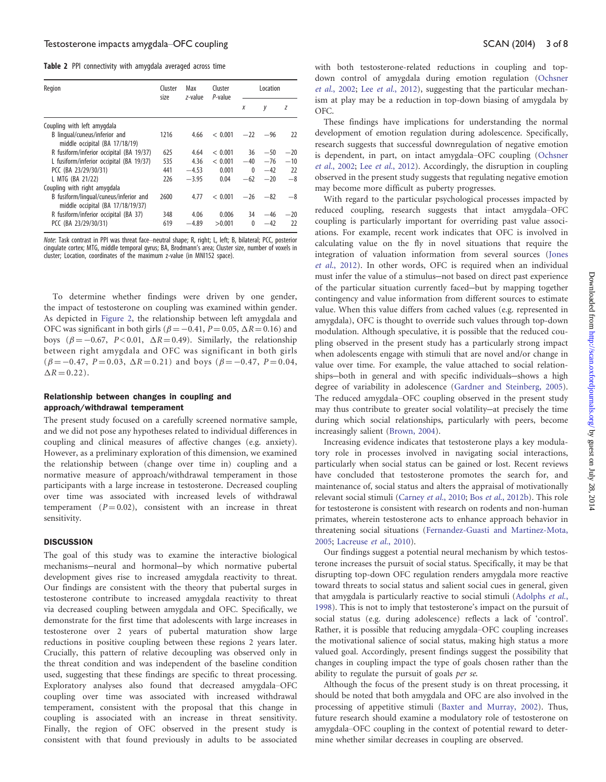<span id="page-2-0"></span>Table 2 PPI connectivity with amygdala averaged across time

| Region                                                                      | Cluster<br>size | Max<br>z-value | Cluster<br>P-value | Location |       |       |
|-----------------------------------------------------------------------------|-----------------|----------------|--------------------|----------|-------|-------|
|                                                                             |                 |                |                    | Χ        | у     | Z     |
| Coupling with left amygdala                                                 |                 |                |                    |          |       |       |
| B lingual/cuneus/inferior and                                               | 1216            | 4.66           | < 0.001            | $-22$    | $-96$ | 22    |
| middle occipital (BA 17/18/19)                                              |                 |                |                    |          |       |       |
| R fusiform/inferior occipital (BA 19/37)                                    | 625             | 4.64           | < 0.001            | 36       | $-50$ | $-20$ |
| L fusiform/inferior occipital (BA 19/37)                                    | 535             | 4.36           | < 0.001            | $-40$    | $-76$ | $-10$ |
| PCC (BA 23/29/30/31)                                                        | 441             | $-4.53$        | 0.001              | $\Omega$ | $-42$ | 22    |
| L MTG (BA 21/22)                                                            | 226             | $-3.95$        | 0.04               | $-62$    | $-20$ | $-8$  |
| Coupling with right amygdala                                                |                 |                |                    |          |       |       |
| B fusiform/lingual/cuneus/inferior and<br>middle occipital (BA 17/18/19/37) | 2600            | 4.77           | < 0.001            | $-26$    | $-82$ | $-8$  |
| R fusiform/inferior occipital (BA 37)                                       | 348             | 4.06           | 0.006              | 34       | $-46$ | $-20$ |
| PCC (BA 23/29/30/31)                                                        | 619             | $-4.89$        | >0.001             | 0        | $-42$ | 22    |

Note: Task contrast in PPI was threat face–neutral shape; R, right; L, left; B, bilateral; PCC, posterior cingulate cortex; MTG, middle temporal gyrus; BA, Brodmann's area; Cluster size, number of voxels in cluster; Location, coordinates of the maximum z-value (in MNI152 space).

To determine whether findings were driven by one gender, the impact of testosterone on coupling was examined within gender. As depicted in [Figure 2](#page-4-0), the relationship between left amygdala and OFC was significant in both girls ( $\beta = -0.41$ ,  $P = 0.05$ ,  $\Delta R = 0.16$ ) and boys ( $\beta = -0.67$ ,  $P < 0.01$ ,  $\Delta R = 0.49$ ). Similarly, the relationship between right amygdala and OFC was significant in both girls  $(\beta = -0.47, P = 0.03, \Delta R = 0.21)$  and boys  $(\beta = -0.47, P = 0.04,$  $\Delta R = 0.22$ ).

## Relationship between changes in coupling and approach/withdrawal temperament

The present study focused on a carefully screened normative sample, and we did not pose any hypotheses related to individual differences in coupling and clinical measures of affective changes (e.g. anxiety). However, as a preliminary exploration of this dimension, we examined the relationship between (change over time in) coupling and a normative measure of approach/withdrawal temperament in those participants with a large increase in testosterone. Decreased coupling over time was associated with increased levels of withdrawal temperament  $(P = 0.02)$ , consistent with an increase in threat sensitivity.

## **DISCUSSION**

The goal of this study was to examine the interactive biological mechanisms-neural and hormonal-by which normative pubertal development gives rise to increased amygdala reactivity to threat. Our findings are consistent with the theory that pubertal surges in testosterone contribute to increased amygdala reactivity to threat via decreased coupling between amygdala and OFC. Specifically, we demonstrate for the first time that adolescents with large increases in testosterone over 2 years of pubertal maturation show large reductions in positive coupling between these regions 2 years later. Crucially, this pattern of relative decoupling was observed only in the threat condition and was independent of the baseline condition used, suggesting that these findings are specific to threat processing. Exploratory analyses also found that decreased amygdala–OFC coupling over time was associated with increased withdrawal temperament, consistent with the proposal that this change in coupling is associated with an increase in threat sensitivity. Finally, the region of OFC observed in the present study is consistent with that found previously in adults to be associated with both testosterone-related reductions in coupling and topdown control of amygdala during emotion regulation [\(Ochsner](#page-6-0) et al.[, 2002](#page-6-0); Lee et al.[, 2012\)](#page-6-0), suggesting that the particular mechanism at play may be a reduction in top-down biasing of amygdala by OFC.

These findings have implications for understanding the normal development of emotion regulation during adolescence. Specifically, research suggests that successful downregulation of negative emotion is dependent, in part, on intact amygdala–OFC coupling [\(Ochsner](#page-6-0) et al.[, 2002;](#page-6-0) Lee et al.[, 2012](#page-6-0)). Accordingly, the disruption in coupling observed in the present study suggests that regulating negative emotion may become more difficult as puberty progresses.

With regard to the particular psychological processes impacted by reduced coupling, research suggests that intact amygdala–OFC coupling is particularly important for overriding past value associations. For example, recent work indicates that OFC is involved in calculating value on the fly in novel situations that require the integration of valuation information from several sources ([Jones](#page-6-0) et al[., 2012\)](#page-6-0). In other words, OFC is required when an individual must infer the value of a stimulus-not based on direct past experience of the particular situation currently faced-but by mapping together contingency and value information from different sources to estimate value. When this value differs from cached values (e.g. represented in amygdala), OFC is thought to override such values through top-down modulation. Although speculative, it is possible that the reduced coupling observed in the present study has a particularly strong impact when adolescents engage with stimuli that are novel and/or change in value over time. For example, the value attached to social relationships-both in general and with specific individuals-shows a high degree of variability in adolescence [\(Gardner and Steinberg, 2005\)](#page-6-0). The reduced amygdala–OFC coupling observed in the present study may thus contribute to greater social volatility-at precisely the time during which social relationships, particularly with peers, become increasingly salient ([Brown, 2004\)](#page-6-0).

Increasing evidence indicates that testosterone plays a key modulatory role in processes involved in navigating social interactions, particularly when social status can be gained or lost. Recent reviews have concluded that testosterone promotes the search for, and maintenance of, social status and alters the appraisal of motivationally relevant social stimuli [\(Carney](#page-6-0) et al., 2010; Bos et al[., 2012b](#page-6-0)). This role for testosterone is consistent with research on rodents and non-human primates, wherein testosterone acts to enhance approach behavior in threatening social situations ([Fernandez-Guasti and Martinez-Mota,](#page-6-0) [2005;](#page-6-0) [Lacreuse](#page-6-0) et al., 2010).

Our findings suggest a potential neural mechanism by which testosterone increases the pursuit of social status. Specifically, it may be that disrupting top-down OFC regulation renders amygdala more reactive toward threats to social status and salient social cues in general, given that amygdala is particularly reactive to social stimuli [\(Adolphs](#page-6-0) et al., [1998\)](#page-6-0). This is not to imply that testosterone's impact on the pursuit of social status (e.g. during adolescence) reflects a lack of 'control'. Rather, it is possible that reducing amygdala–OFC coupling increases the motivational salience of social status, making high status a more valued goal. Accordingly, present findings suggest the possibility that changes in coupling impact the type of goals chosen rather than the ability to regulate the pursuit of goals per se.

Although the focus of the present study is on threat processing, it should be noted that both amygdala and OFC are also involved in the processing of appetitive stimuli [\(Baxter and Murray, 2002\)](#page-6-0). Thus, future research should examine a modulatory role of testosterone on amygdala–OFC coupling in the context of potential reward to determine whether similar decreases in coupling are observed.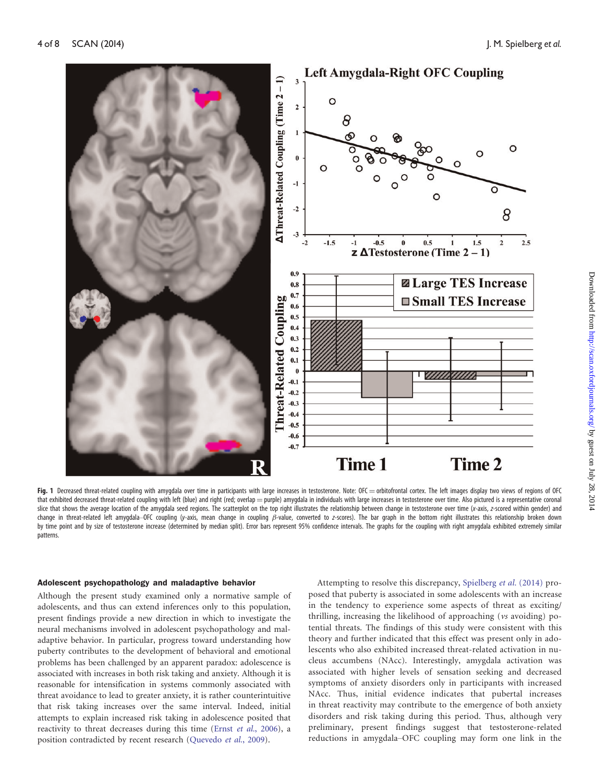<span id="page-3-0"></span>

Fig. 1 Decreased threat-related coupling with amygdala over time in participants with large increases in testosterone. Note: OFC = orbitofrontal cortex. The left images display two views of regions of OFC that exhibited decreased threat-related coupling with left (blue) and right (red; overlap = purple) amygdala in individuals with large increases in testosterone over time. Also pictured is a representative coronal slice that shows the average location of the amygdala seed regions. The scatterplot on the top right illustrates the relationship between change in testosterone over time (x-axis, z-scored within gender) and change in threat-related left amygdala-OFC coupling (y-axis, mean change in coupling  $\beta$ -value, converted to z-scores). The bar graph in the bottom right illustrates this relationship broken down by time point and by size of testosterone increase (determined by median split). Error bars represent 95% confidence intervals. The graphs for the coupling with right amygdala exhibited extremely similar patterns.

## Adolescent psychopathology and maladaptive behavior

Although the present study examined only a normative sample of adolescents, and thus can extend inferences only to this population, present findings provide a new direction in which to investigate the neural mechanisms involved in adolescent psychopathology and maladaptive behavior. In particular, progress toward understanding how puberty contributes to the development of behavioral and emotional problems has been challenged by an apparent paradox: adolescence is associated with increases in both risk taking and anxiety. Although it is reasonable for intensification in systems commonly associated with threat avoidance to lead to greater anxiety, it is rather counterintuitive that risk taking increases over the same interval. Indeed, initial attempts to explain increased risk taking in adolescence posited that reactivity to threat decreases during this time (Ernst et al.[, 2006\)](#page-6-0), a position contradicted by recent research ([Quevedo](#page-6-0) et al., 2009).

Attempting to resolve this discrepancy, [Spielberg](#page-6-0) [et al.](#page-6-0) [\(2014\)](#page-6-0) proposed that puberty is associated in some adolescents with an increase in the tendency to experience some aspects of threat as exciting/ thrilling, increasing the likelihood of approaching (vs avoiding) potential threats. The findings of this study were consistent with this theory and further indicated that this effect was present only in adolescents who also exhibited increased threat-related activation in nucleus accumbens (NAcc). Interestingly, amygdala activation was associated with higher levels of sensation seeking and decreased symptoms of anxiety disorders only in participants with increased NAcc. Thus, initial evidence indicates that pubertal increases in threat reactivity may contribute to the emergence of both anxiety disorders and risk taking during this period. Thus, although very preliminary, present findings suggest that testosterone-related reductions in amygdala–OFC coupling may form one link in the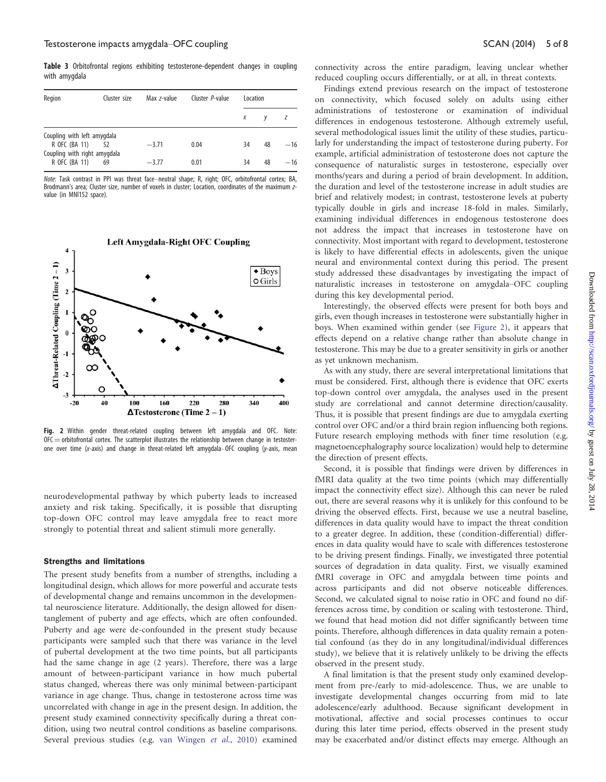<span id="page-4-0"></span>Table 3 Orbitofrontal regions exhibiting testosterone-dependent changes in coupling with amvgdala

| Region                                                                                        | Cluster size | Max z-value | Cluster P-value | Location |       |       |
|-----------------------------------------------------------------------------------------------|--------------|-------------|-----------------|----------|-------|-------|
|                                                                                               |              |             |                 | X        | V     | z     |
| Coupling with left amygdala<br>R OFC (BA 11)<br>52<br>$-3.71$<br>Coupling with right amygdala |              | 0.04        | 34              | 48       | $-16$ |       |
| R OFC (BA 11)                                                                                 | 69           | $-3.77$     | 0.01            | 34       | 48    | $-16$ |

Note: Task contrast in PPI was threat face–neutral shape; R, right; OFC, orbitofrontal cortex; BA, Brodmann's area; Cluster size, number of voxels in cluster; Location, coordinates of the maximum <sup>z</sup>- value (in MNI152 space).



Fig. 2 Within gender threat-related coupling between left amygdala and OFC. Note:  $OFC =$  orbitofrontal cortex. The scatterplot illustrates the relationship between change in testosterone over time (x-axis) and change in threat-related left amygdala–OFC coupling (y-axis, mean

neurodevelopmental pathway by which puberty leads to increased anxiety and risk taking. Specifically, it is possible that disrupting top-down OFC control may leave amygdala free to react more strongly to potential threat and salient stimuli more generally.

#### Strengths and limitations

The present study benefits from a number of strengths, including a longitudinal design, which allows for more powerful and accurate tests of developmental change and remains uncommon in the developmental neuroscience literature. Additionally, the design allowed for disentanglement of puberty and age effects, which are often confounded. Puberty and age were de-confounded in the present study because participants were sampled such that there was variance in the level of pubertal development at the two time points, but all participants had the same change in age (2 years). Therefore, there was a large amount of between-participant variance in how much pubertal status changed, whereas there was only minimal between-participant variance in age change. Thus, change in testosterone across time was uncorrelated with change in age in the present design. In addition, the present study examined connectivity specifically during a threat condition, using two neutral control conditions as baseline comparisons. Several previous studies (e.g. [van Wingen](#page-6-0) et al., 2010) examined

connectivity across the entire paradigm, leaving unclear whether reduced coupling occurs differentially, or at all, in threat contexts.

Findings extend previous research on the impact of testosterone on connectivity, which focused solely on adults using either administrations of testosterone or examination of individual differences in endogenous testosterone. Although extremely useful, several methodological issues limit the utility of these studies, particularly for understanding the impact of testosterone during puberty. For example, artificial administration of testosterone does not capture the consequence of naturalistic surges in testosterone, especially over months/years and during a period of brain development. In addition, the duration and level of the testosterone increase in adult studies are brief and relatively modest; in contrast, testosterone levels at puberty typically double in girls and increase 18-fold in males. Similarly, examining individual differences in endogenous testosterone does not address the impact that increases in testosterone have on connectivity. Most important with regard to development, testosterone is likely to have differential effects in adolescents, given the unique neural and environmental context during this period. The present study addressed these disadvantages by investigating the impact of naturalistic increases in testosterone on amygdala–OFC coupling during this key developmental period.

Interestingly, the observed effects were present for both boys and girls, even though increases in testosterone were substantially higher in boys. When examined within gender (see Figure 2), it appears that effects depend on a relative change rather than absolute change in testosterone. This may be due to a greater sensitivity in girls or another as yet unknown mechanism.

As with any study, there are several interpretational limitations that must be considered. First, although there is evidence that OFC exerts top-down control over amygdala, the analyses used in the present study are correlational and cannot determine direction/causality. Thus, it is possible that present findings are due to amygdala exerting control over OFC and/or a third brain region influencing both regions. Future research employing methods with finer time resolution (e.g. magnetoencephalography source localization) would help to determine the direction of present effects.

Second, it is possible that findings were driven by differences in fMRI data quality at the two time points (which may differentially impact the connectivity effect size). Although this can never be ruled out, there are several reasons why it is unlikely for this confound to be driving the observed effects. First, because we use a neutral baseline, differences in data quality would have to impact the threat condition to a greater degree. In addition, these (condition-differential) differences in data quality would have to scale with differences testosterone to be driving present findings. Finally, we investigated three potential sources of degradation in data quality. First, we visually examined fMRI coverage in OFC and amygdala between time points and across participants and did not observe noticeable differences. Second, we calculated signal to noise ratio in OFC and found no differences across time, by condition or scaling with testosterone. Third, we found that head motion did not differ significantly between time points. Therefore, although differences in data quality remain a potential confound (as they do in any longitudinal/individual differences study), we believe that it is relatively unlikely to be driving the effects observed in the present study.

A final limitation is that the present study only examined development from pre-/early to mid-adolescence. Thus, we are unable to investigate developmental changes occurring from mid to late adolescence/early adulthood. Because significant development in motivational, affective and social processes continues to occur during this later time period, effects observed in the present study may be exacerbated and/or distinct effects may emerge. Although an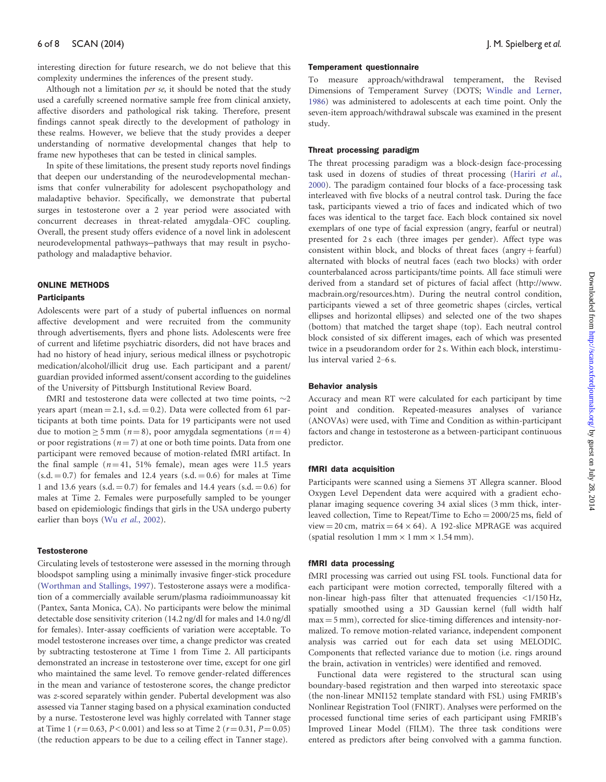interesting direction for future research, we do not believe that this complexity undermines the inferences of the present study.

Although not a limitation per se, it should be noted that the study used a carefully screened normative sample free from clinical anxiety, affective disorders and pathological risk taking. Therefore, present findings cannot speak directly to the development of pathology in these realms. However, we believe that the study provides a deeper understanding of normative developmental changes that help to frame new hypotheses that can be tested in clinical samples.

In spite of these limitations, the present study reports novel findings that deepen our understanding of the neurodevelopmental mechanisms that confer vulnerability for adolescent psychopathology and maladaptive behavior. Specifically, we demonstrate that pubertal surges in testosterone over a 2 year period were associated with concurrent decreases in threat-related amygdala–OFC coupling. Overall, the present study offers evidence of a novel link in adolescent neurodevelopmental pathways-pathways that may result in psychopathology and maladaptive behavior.

## ONLINE METHODS

#### **Participants**

Adolescents were part of a study of pubertal influences on normal affective development and were recruited from the community through advertisements, flyers and phone lists. Adolescents were free of current and lifetime psychiatric disorders, did not have braces and had no history of head injury, serious medical illness or psychotropic medication/alcohol/illicit drug use. Each participant and a parent/ guardian provided informed assent/consent according to the guidelines of the University of Pittsburgh Institutional Review Board.

fMRI and testosterone data were collected at two time points,  $\sim$ 2 years apart (mean  $= 2.1$ , s.d.  $= 0.2$ ). Data were collected from 61 participants at both time points. Data for 19 participants were not used due to motion  $\geq$  5 mm (*n* = 8), poor amygdala segmentations (*n* = 4) or poor registrations ( $n = 7$ ) at one or both time points. Data from one participant were removed because of motion-related fMRI artifact. In the final sample  $(n = 41, 51\%$  female), mean ages were 11.5 years  $(s.d. = 0.7)$  for females and 12.4 years  $(s.d. = 0.6)$  for males at Time 1 and 13.6 years (s.d.  $= 0.7$ ) for females and 14.4 years (s.d.  $= 0.6$ ) for males at Time 2. Females were purposefully sampled to be younger based on epidemiologic findings that girls in the USA undergo puberty earlier than boys (Wu et al.[, 2002](#page-7-0)).

## **Testosterone**

Circulating levels of testosterone were assessed in the morning through bloodspot sampling using a minimally invasive finger-stick procedure [\(Worthman and Stallings, 1997](#page-7-0)). Testosterone assays were a modification of a commercially available serum/plasma radioimmunoassay kit (Pantex, Santa Monica, CA). No participants were below the minimal detectable dose sensitivity criterion (14.2 ng/dl for males and 14.0 ng/dl for females). Inter-assay coefficients of variation were acceptable. To model testosterone increases over time, a change predictor was created by subtracting testosterone at Time 1 from Time 2. All participants demonstrated an increase in testosterone over time, except for one girl who maintained the same level. To remove gender-related differences in the mean and variance of testosterone scores, the change predictor was z-scored separately within gender. Pubertal development was also assessed via Tanner staging based on a physical examination conducted by a nurse. Testosterone level was highly correlated with Tanner stage at Time 1 ( $r = 0.63$ ,  $P < 0.001$ ) and less so at Time 2 ( $r = 0.31$ ,  $P = 0.05$ ) (the reduction appears to be due to a ceiling effect in Tanner stage).

#### Temperament questionnaire

To measure approach/withdrawal temperament, the Revised Dimensions of Temperament Survey (DOTS; [Windle and Lerner,](#page-7-0) [1986\)](#page-7-0) was administered to adolescents at each time point. Only the seven-item approach/withdrawal subscale was examined in the present study.

## Threat processing paradigm

The threat processing paradigm was a block-design face-processing task used in dozens of studies of threat processing [\(Hariri](#page-6-0) et al., [2000\)](#page-6-0). The paradigm contained four blocks of a face-processing task interleaved with five blocks of a neutral control task. During the face task, participants viewed a trio of faces and indicated which of two faces was identical to the target face. Each block contained six novel exemplars of one type of facial expression (angry, fearful or neutral) presented for 2s each (three images per gender). Affect type was consistent within block, and blocks of threat faces  $(\text{angry} + \text{fearful})$ alternated with blocks of neutral faces (each two blocks) with order counterbalanced across participants/time points. All face stimuli were derived from a standard set of pictures of facial affect [\(http://www.](http://www.macbrain.org/resources.htm) [macbrain.org/resources.htm\)](http://www.macbrain.org/resources.htm). During the neutral control condition, participants viewed a set of three geometric shapes (circles, vertical ellipses and horizontal ellipses) and selected one of the two shapes (bottom) that matched the target shape (top). Each neutral control block consisted of six different images, each of which was presented twice in a pseudorandom order for 2 s. Within each block, interstimulus interval varied 2–6 s.

### Behavior analysis

Accuracy and mean RT were calculated for each participant by time point and condition. Repeated-measures analyses of variance (ANOVAs) were used, with Time and Condition as within-participant factors and change in testosterone as a between-participant continuous predictor.

## fMRI data acquisition

Participants were scanned using a Siemens 3T Allegra scanner. Blood Oxygen Level Dependent data were acquired with a gradient echoplanar imaging sequence covering 34 axial slices (3 mm thick, interleaved collection, Time to Repeat/Time to  $Echo = 2000/25$  ms, field of view = 20 cm, matrix =  $64 \times 64$ ). A 192-slice MPRAGE was acquired (spatial resolution  $1 \text{ mm} \times 1 \text{ mm} \times 1.54 \text{ mm}$ ).

#### fMRI data processing

fMRI processing was carried out using FSL tools. Functional data for each participant were motion corrected, temporally filtered with a non-linear high-pass filter that attenuated frequencies <1/150 Hz, spatially smoothed using a 3D Gaussian kernel (full width half  $max = 5$  mm), corrected for slice-timing differences and intensity-normalized. To remove motion-related variance, independent component analysis was carried out for each data set using MELODIC. Components that reflected variance due to motion (i.e. rings around the brain, activation in ventricles) were identified and removed.

Functional data were registered to the structural scan using boundary-based registration and then warped into stereotaxic space (the non-linear MNI152 template standard with FSL) using FMRIB's Nonlinear Registration Tool (FNIRT). Analyses were performed on the processed functional time series of each participant using FMRIB's Improved Linear Model (FILM). The three task conditions were entered as predictors after being convolved with a gamma function.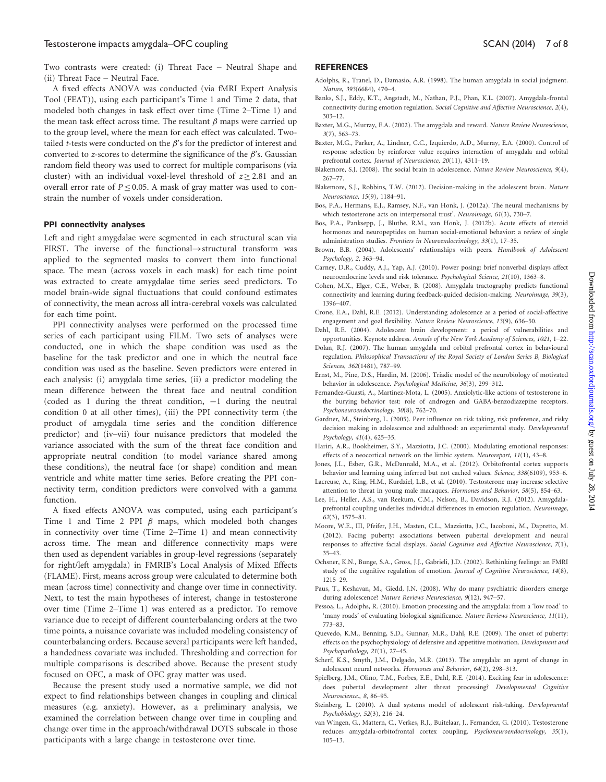## <span id="page-6-0"></span>Testosterone impacts amygdala–OFC coupling SCAN (2014) 7 of 8

Two contrasts were created: (i) Threat Face – Neutral Shape and (ii) Threat Face – Neutral Face.

A fixed effects ANOVA was conducted (via fMRI Expert Analysis Tool (FEAT)), using each participant's Time 1 and Time 2 data, that modeled both changes in task effect over time (Time 2–Time 1) and the mean task effect across time. The resultant  $\beta$  maps were carried up to the group level, where the mean for each effect was calculated. Twotailed *t*-tests were conducted on the  $\beta$ 's for the predictor of interest and converted to z-scores to determine the significance of the  $\beta$ 's. Gaussian random field theory was used to correct for multiple comparisons (via cluster) with an individual voxel-level threshold of  $z \geq 2.81$  and an overall error rate of  $P \le 0.05$ . A mask of gray matter was used to constrain the number of voxels under consideration.

#### PPI connectivity analyses

Left and right amygdalae were segmented in each structural scan via FIRST. The inverse of the functional $\rightarrow$ structural transform was applied to the segmented masks to convert them into functional space. The mean (across voxels in each mask) for each time point was extracted to create amygdalae time series seed predictors. To model brain-wide signal fluctuations that could confound estimates of connectivity, the mean across all intra-cerebral voxels was calculated for each time point.

PPI connectivity analyses were performed on the processed time series of each participant using FILM. Two sets of analyses were conducted, one in which the shape condition was used as the baseline for the task predictor and one in which the neutral face condition was used as the baseline. Seven predictors were entered in each analysis: (i) amygdala time series, (ii) a predictor modeling the mean difference between the threat face and neutral condition (coded as 1 during the threat condition,  $-1$  during the neutral condition 0 at all other times), (iii) the PPI connectivity term (the product of amygdala time series and the condition difference predictor) and (iv–vii) four nuisance predictors that modeled the variance associated with the sum of the threat face condition and appropriate neutral condition (to model variance shared among these conditions), the neutral face (or shape) condition and mean ventricle and white matter time series. Before creating the PPI connectivity term, condition predictors were convolved with a gamma function.

A fixed effects ANOVA was computed, using each participant's Time 1 and Time 2 PPI  $\beta$  maps, which modeled both changes in connectivity over time (Time 2–Time 1) and mean connectivity across time. The mean and difference connectivity maps were then used as dependent variables in group-level regressions (separately for right/left amygdala) in FMRIB's Local Analysis of Mixed Effects (FLAME). First, means across group were calculated to determine both mean (across time) connectivity and change over time in connectivity. Next, to test the main hypotheses of interest, change in testosterone over time (Time 2–Time 1) was entered as a predictor. To remove variance due to receipt of different counterbalancing orders at the two time points, a nuisance covariate was included modeling consistency of counterbalancing orders. Because several participants were left handed, a handedness covariate was included. Thresholding and correction for multiple comparisons is described above. Because the present study focused on OFC, a mask of OFC gray matter was used.

Because the present study used a normative sample, we did not expect to find relationships between changes in coupling and clinical measures (e.g. anxiety). However, as a preliminary analysis, we examined the correlation between change over time in coupling and change over time in the approach/withdrawal DOTS subscale in those participants with a large change in testosterone over time.

## **REFERENCES**

- Adolphs, R., Tranel, D., Damasio, A.R. (1998). The human amygdala in social judgment. Nature, 393(6684), 470–4.
- Banks, S.J., Eddy, K.T., Angstadt, M., Nathan, P.J., Phan, K.L. (2007). Amygdala-frontal connectivity during emotion regulation. Social Cognitive and Affective Neuroscience, 2(4), 303–12.
- Baxter, M.G., Murray, E.A. (2002). The amygdala and reward. Nature Review Neuroscience, 3(7), 563–73.
- Baxter, M.G., Parker, A., Lindner, C.C., Izquierdo, A.D., Murray, E.A. (2000). Control of response selection by reinforcer value requires interaction of amygdala and orbital prefrontal cortex. Journal of Neuroscience, 20(11), 4311–19.
- Blakemore, S.J. (2008). The social brain in adolescence. Nature Review Neuroscience, 9(4), 267–77.
- Blakemore, S.J., Robbins, T.W. (2012). Decision-making in the adolescent brain. Nature Neuroscience, 15(9), 1184–91.
- Bos, P.A., Hermans, E.J., Ramsey, N.F., van Honk, J. (2012a). The neural mechanisms by which testosterone acts on interpersonal trust'. Neuroimage, 61(3), 730–7.
- Bos, P.A., Panksepp, J., Bluthe, R.M., van Honk, J. (2012b). Acute effects of steroid hormones and neuropeptides on human social-emotional behavior: a review of single administration studies. Frontiers in Neuroendocrinology, 33(1), 17–35.
- Brown, B.B. (2004). Adolescents' relationships with peers. Handbook of Adolescent Psychology, 2, 363–94.
- Carney, D.R., Cuddy, A.J., Yap, A.J. (2010). Power posing: brief nonverbal displays affect neuroendocrine levels and risk tolerance. Psychological Science, 21(10), 1363–8.
- Cohen, M.X., Elger, C.E., Weber, B. (2008). Amygdala tractography predicts functional connectivity and learning during feedback-guided decision-making. Neuroimage, 39(3), 1396–407.
- Crone, E.A., Dahl, R.E. (2012). Understanding adolescence as a period of social-affective engagement and goal flexibility. Nature Review Neuroscience, 13(9), 636–50.
- Dahl, R.E. (2004). Adolescent brain development: a period of vulnerabilities and opportunities. Keynote address. Annals of the New York Academy of Sciences, 1021, 1–22.
- Dolan, R.J. (2007). The human amygdala and orbital prefrontal cortex in behavioural regulation. Philosophical Transactions of the Royal Society of London Series B, Biological Sciences, 362(1481), 787–99.
- Ernst, M., Pine, D.S., Hardin, M. (2006). Triadic model of the neurobiology of motivated behavior in adolescence. Psychological Medicine, 36(3), 299–312.
- Fernandez-Guasti, A., Martinez-Mota, L. (2005). Anxiolytic-like actions of testosterone in the burying behavior test: role of androgen and GABA-benzodiazepine receptors. Psychoneuroendocrinology, 30(8), 762–70.
- Gardner, M., Steinberg, L. (2005). Peer influence on risk taking, risk preference, and risky decision making in adolescence and adulthood: an experimental study. Developmental Psychology, 41(4), 625–35.
- Hariri, A.R., Bookheimer, S.Y., Mazziotta, J.C. (2000). Modulating emotional responses: effects of a neocortical network on the limbic system. Neuroreport, 11(1), 43–8.
- Jones, J.L., Esber, G.R., McDannald, M.A., et al. (2012). Orbitofrontal cortex supports behavior and learning using inferred but not cached values. Science, 338(6109), 953–6.
- Lacreuse, A., King, H.M., Kurdziel, L.B., et al. (2010). Testosterone may increase selective attention to threat in young male macaques. Hormones and Behavior, 58(5), 854–63.
- Lee, H., Heller, A.S., van Reekum, C.M., Nelson, B., Davidson, R.J. (2012). Amygdalaprefrontal coupling underlies individual differences in emotion regulation. Neuroimage, 62(3), 1575–81.
- Moore, W.E., III, Pfeifer, J.H., Masten, C.L., Mazziotta, J.C., Iacoboni, M., Dapretto, M. (2012). Facing puberty: associations between pubertal development and neural responses to affective facial displays. Social Cognitive and Affective Neuroscience, 7(1), 35–43.
- Ochsner, K.N., Bunge, S.A., Gross, J.J., Gabrieli, J.D. (2002). Rethinking feelings: an FMRI study of the cognitive regulation of emotion. Journal of Cognitive Neuroscience, 14(8), 1215–29.
- Paus, T., Keshavan, M., Giedd, J.N. (2008). Why do many psychiatric disorders emerge during adolescence? Nature Reviews Neuroscience, 9(12), 947–57.
- Pessoa, L., Adolphs, R. (2010). Emotion processing and the amygdala: from a 'low road' to 'many roads' of evaluating biological significance. Nature Reviews Neuroscience, 11(11), 773–83.
- Quevedo, K.M., Benning, S.D., Gunnar, M.R., Dahl, R.E. (2009). The onset of puberty: effects on the psychophysiology of defensive and appetitive motivation. Development and Psychopathology, 21(1), 27–45.
- Scherf, K.S., Smyth, J.M., Delgado, M.R. (2013). The amygdala: an agent of change in adolescent neural networks. Hormones and Behavior, 64(2), 298–313.
- Spielberg, J.M., Olino, T.M., Forbes, E.E., Dahl, R.E. (2014). Exciting fear in adolescence: does pubertal development alter threat processing? Developmental Cognitive Neuroscience., 8, 86–95.
- Steinberg, L. (2010). A dual systems model of adolescent risk-taking. Developmental Psychobiology, 52(3), 216–24.
- van Wingen, G., Mattern, C., Verkes, R.J., Buitelaar, J., Fernandez, G. (2010). Testosterone reduces amygdala-orbitofrontal cortex coupling. Psychoneuroendocrinology, 35(1), 105–13.